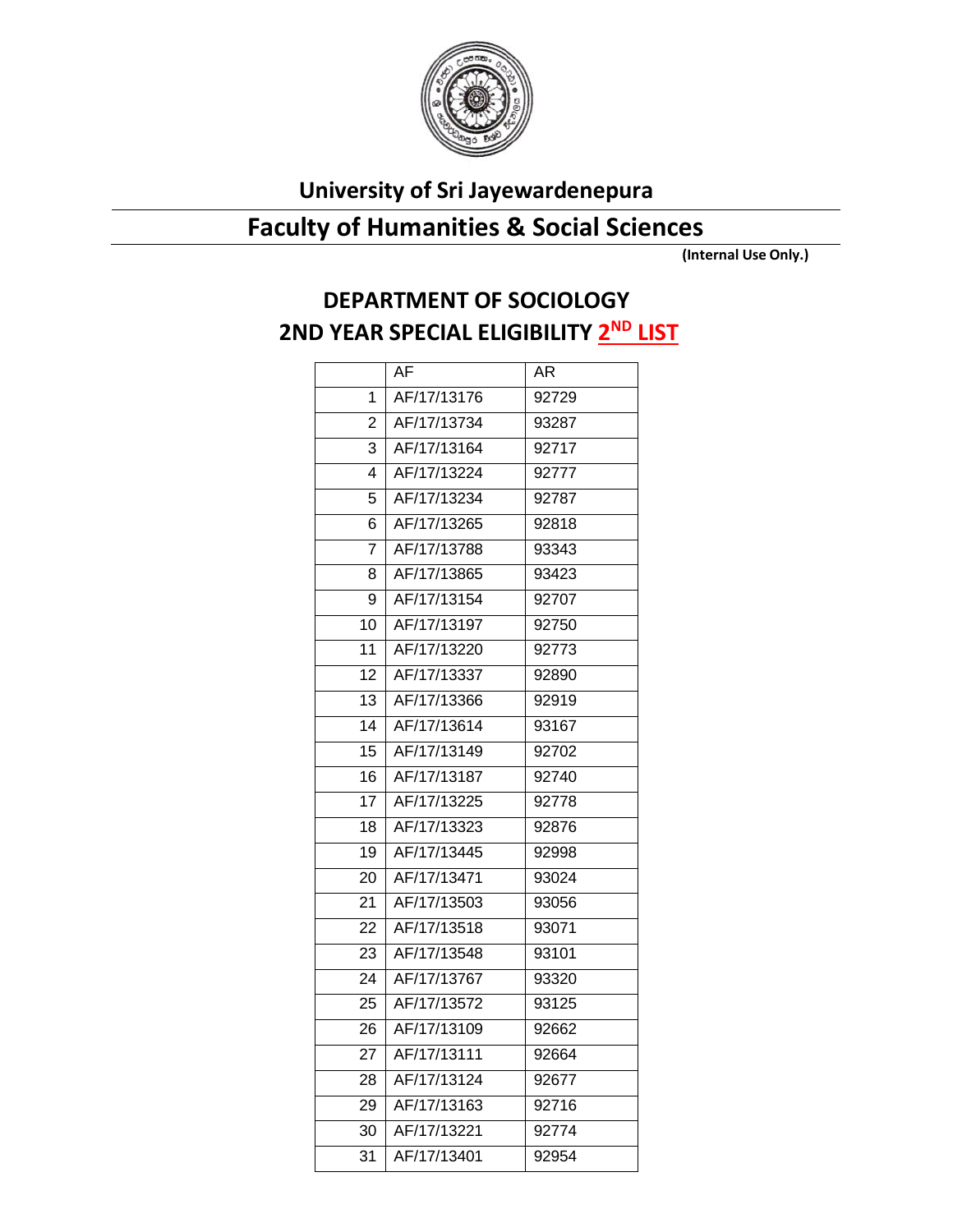

## **University of Sri Jayewardenepura**

## **Faculty of Humanities & Social Sciences**

**(Internal Use Only.)**

## **DEPARTMENT OF SOCIOLOGY 2ND YEAR SPECIAL ELIGIBILITY 2 ND LIST**

|                | AF          | AR    |
|----------------|-------------|-------|
| 1              | AF/17/13176 | 92729 |
| $\overline{2}$ | AF/17/13734 | 93287 |
| 3              | AF/17/13164 | 92717 |
| 4              | AF/17/13224 | 92777 |
| 5              | AF/17/13234 | 92787 |
| 6              | AF/17/13265 | 92818 |
| 7              | AF/17/13788 | 93343 |
| 8              | AF/17/13865 | 93423 |
| 9              | AF/17/13154 | 92707 |
| 10             | AF/17/13197 | 92750 |
| 11             | AF/17/13220 | 92773 |
| 12             | AF/17/13337 | 92890 |
| 13             | AF/17/13366 | 92919 |
| 14             | AF/17/13614 | 93167 |
| 15             | AF/17/13149 | 92702 |
| 16             | AF/17/13187 | 92740 |
| 17             | AF/17/13225 | 92778 |
| 18             | AF/17/13323 | 92876 |
| 19             | AF/17/13445 | 92998 |
| 20             | AF/17/13471 | 93024 |
| 21             | AF/17/13503 | 93056 |
| 22             | AF/17/13518 | 93071 |
| 23             | AF/17/13548 | 93101 |
| 24             | AF/17/13767 | 93320 |
| 25             | AF/17/13572 | 93125 |
| 26             | AF/17/13109 | 92662 |
| 27             | AF/17/13111 | 92664 |
| 28             | AF/17/13124 | 92677 |
| 29             | AF/17/13163 | 92716 |
| 30             | AF/17/13221 | 92774 |
| 31             | AF/17/13401 | 92954 |